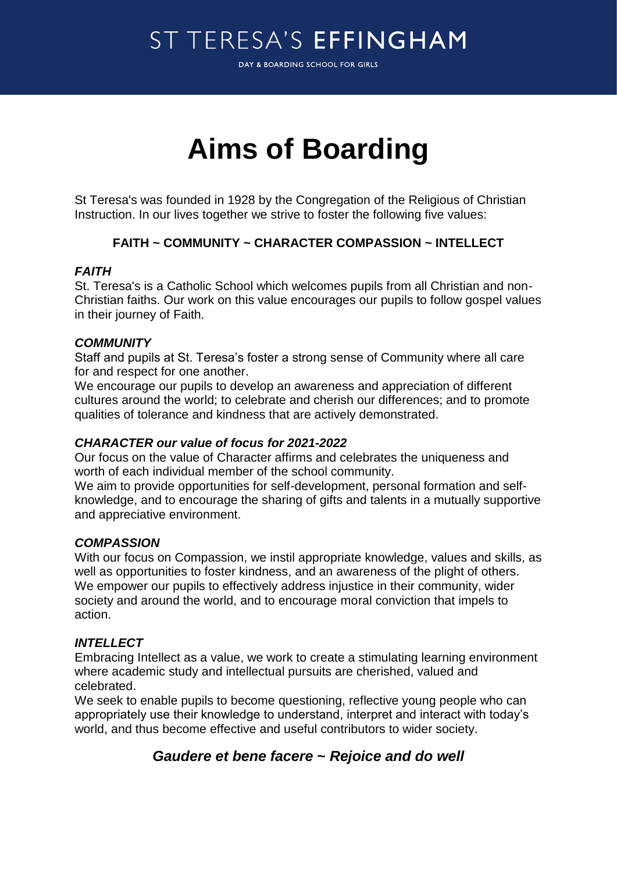# ST TERESA'S EFFINGHAM

DAY & BOARDING SCHOOL FOR GIRLS

# **Aims of Boarding**

St Teresa's was founded in 1928 by the Congregation of the Religious of Christian Instruction. In our lives together we strive to foster the following five values:

### **FAITH ~ COMMUNITY ~ CHARACTER COMPASSION ~ INTELLECT**

#### *FAITH*

St. Teresa's is a Catholic School which welcomes pupils from all Christian and non-Christian faiths. Our work on this value encourages our pupils to follow gospel values in their journey of Faith.

#### *COMMUNITY*

Staff and pupils at St. Teresa's foster a strong sense of Community where all care for and respect for one another.

We encourage our pupils to develop an awareness and appreciation of different cultures around the world; to celebrate and cherish our differences; and to promote qualities of tolerance and kindness that are actively demonstrated.

#### *CHARACTER our value of focus for 2021-2022*

Our focus on the value of Character affirms and celebrates the uniqueness and worth of each individual member of the school community.

We aim to provide opportunities for self-development, personal formation and selfknowledge, and to encourage the sharing of gifts and talents in a mutually supportive and appreciative environment.

#### *COMPASSION*

With our focus on Compassion, we instil appropriate knowledge, values and skills, as well as opportunities to foster kindness, and an awareness of the plight of others. We empower our pupils to effectively address injustice in their community, wider society and around the world, and to encourage moral conviction that impels to action.

#### *INTELLECT*

Embracing Intellect as a value, we work to create a stimulating learning environment where academic study and intellectual pursuits are cherished, valued and celebrated.

We seek to enable pupils to become questioning, reflective young people who can appropriately use their knowledge to understand, interpret and interact with today's world, and thus become effective and useful contributors to wider society.

## *Gaudere et bene facere* **~** *Rejoice and do well*